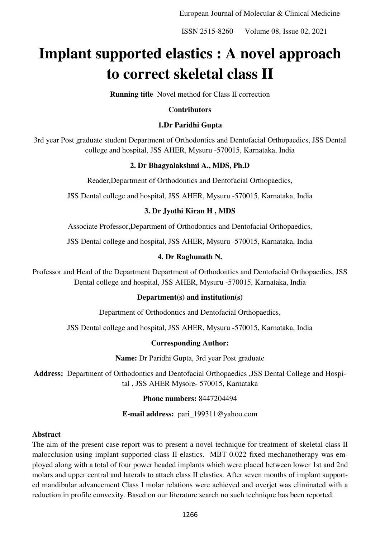European Journal of Molecular & Clinical Medicine

ISSN 2515-8260 Volume 08, Issue 02, 2021

# **Implant supported elastics : A novel approach to correct skeletal class II**

**Running title** Novel method for Class II correction

#### **Contributors**

# **1.Dr Paridhi Gupta**

3rd year Post graduate student Department of Orthodontics and Dentofacial Orthopaedics, JSS Dental college and hospital, JSS AHER, Mysuru -570015, Karnataka, India

## **2. Dr Bhagyalakshmi A., MDS, Ph.D**

Reader,Department of Orthodontics and Dentofacial Orthopaedics,

JSS Dental college and hospital, JSS AHER, Mysuru -570015, Karnataka, India

## **3. Dr Jyothi Kiran H , MDS**

Associate Professor,Department of Orthodontics and Dentofacial Orthopaedics,

JSS Dental college and hospital, JSS AHER, Mysuru -570015, Karnataka, India

## **4. Dr Raghunath N.**

Professor and Head of the Department Department of Orthodontics and Dentofacial Orthopaedics, JSS Dental college and hospital, JSS AHER, Mysuru -570015, Karnataka, India

#### **Department(s) and institution(s)**

Department of Orthodontics and Dentofacial Orthopaedics,

JSS Dental college and hospital, JSS AHER, Mysuru -570015, Karnataka, India

## **Corresponding Author:**

**Name:** Dr Paridhi Gupta, 3rd year Post graduate

**Address:** Department of Orthodontics and Dentofacial Orthopaedics ,JSS Dental College and Hospital , JSS AHER Mysore- 570015, Karnataka

#### **Phone numbers:** 8447204494

**E-mail address:** [pari\\_199311@yahoo.com](mailto:pari_199311@yahoo.com) 

#### **Abstract**

The aim of the present case report was to present a novel technique for treatment of skeletal class II malocclusion using implant supported class II elastics. MBT 0.022 fixed mechanotherapy was employed along with a total of four power headed implants which were placed between lower 1st and 2nd molars and upper central and laterals to attach class II elastics. After seven months of implant supported mandibular advancement Class I molar relations were achieved and overjet was eliminated with a reduction in profile convexity. Based on our literature search no such technique has been reported.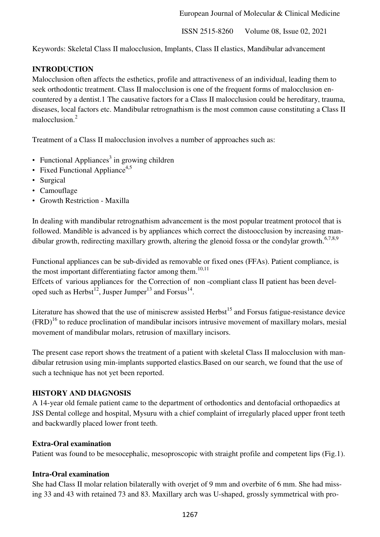Keywords: Skeletal Class II malocclusion, Implants, Class II elastics, Mandibular advancement

# **INTRODUCTION**

Malocclusion often affects the esthetics, profile and attractiveness of an individual, leading them to seek orthodontic treatment. Class II malocclusion is one of the frequent forms of malocclusion encountered by a dentist.1 The causative factors for a Class II malocclusion could be hereditary, trauma, diseases, local factors etc. Mandibular retrognathism is the most common cause constituting a Class II malocclusion.<sup>2</sup>

Treatment of a Class II malocclusion involves a number of approaches such as:

- Functional Appliances<sup>3</sup> in growing children
- Fixed Functional Appliance<sup>4,5</sup>
- Surgical
- Camouflage
- Growth Restriction Maxilla

In dealing with mandibular retrognathism advancement is the most popular treatment protocol that is followed. Mandible is advanced is by appliances which correct the distoocclusion by increasing mandibular growth, redirecting maxillary growth, altering the glenoid fossa or the condylar growth.<sup>6,7,8,9</sup>

Functional appliances can be sub-divided as removable or fixed ones (FFAs). Patient compliance, is the most important differentiating factor among them.<sup>10,11</sup>

Effcets of various appliances for the Correction of non -compliant class II patient has been developed such as Herbst<sup>12</sup>, Jusper Jumper<sup>13</sup> and Forsus<sup>14</sup>.

Literature has showed that the use of miniscrew assisted  $Herbst<sup>15</sup>$  and Forsus fatigue-resistance device  $(FRD)<sup>16</sup>$  to reduce proclination of mandibular incisors intrusive movement of maxillary molars, mesial movement of mandibular molars, retrusion of maxillary incisors.

The present case report shows the treatment of a patient with skeletal Class II malocclusion with mandibular retrusion using min-implants supported elastics.Based on our search, we found that the use of such a technique has not yet been reported.

## **HISTORY AND DIAGNOSIS**

A 14-year old female patient came to the department of orthodontics and dentofacial orthopaedics at JSS Dental college and hospital, Mysuru with a chief complaint of irregularly placed upper front teeth and backwardly placed lower front teeth.

#### **Extra-Oral examination**

Patient was found to be mesocephalic, mesoproscopic with straight profile and competent lips (Fig.1).

## **Intra-Oral examination**

She had Class II molar relation bilaterally with overjet of 9 mm and overbite of 6 mm. She had missing 33 and 43 with retained 73 and 83. Maxillary arch was U-shaped, grossly symmetrical with pro-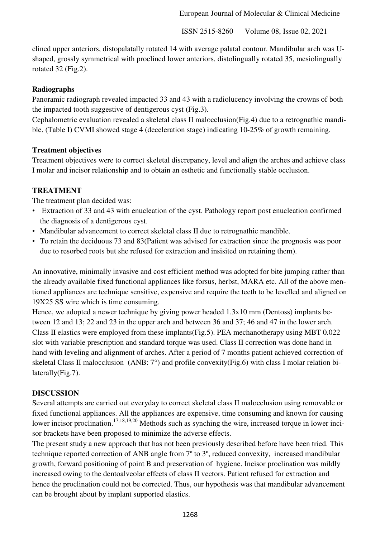clined upper anteriors, distopalatally rotated 14 with average palatal contour. Mandibular arch was Ushaped, grossly symmetrical with proclined lower anteriors, distolingually rotated 35, mesiolingually rotated 32 (Fig.2).

#### **Radiographs**

Panoramic radiograph revealed impacted 33 and 43 with a radiolucency involving the crowns of both the impacted tooth suggestive of dentigerous cyst (Fig.3).

Cephalometric evaluation revealed a skeletal class II malocclusion(Fig.4) due to a retrognathic mandible. (Table I) CVMI showed stage 4 (deceleration stage) indicating 10-25% of growth remaining.

#### **Treatment objectives**

Treatment objectives were to correct skeletal discrepancy, level and align the arches and achieve class I molar and incisor relationship and to obtain an esthetic and functionally stable occlusion.

#### **TREATMENT**

The treatment plan decided was:

- Extraction of 33 and 43 with enucleation of the cyst. Pathology report post enucleation confirmed the diagnosis of a dentigerous cyst.
- Mandibular advancement to correct skeletal class II due to retrognathic mandible.
- To retain the deciduous 73 and 83(Patient was advised for extraction since the prognosis was poor due to resorbed roots but she refused for extraction and insisited on retaining them).

An innovative, minimally invasive and cost efficient method was adopted for bite jumping rather than the already available fixed functional appliances like forsus, herbst, MARA etc. All of the above mentioned appliances are technique sensitive, expensive and require the teeth to be levelled and aligned on 19X25 SS wire which is time consuming.

Hence, we adopted a newer technique by giving power headed  $1.3x10$  mm (Dentoss) implants between 12 and 13; 22 and 23 in the upper arch and between 36 and 37; 46 and 47 in the lower arch. Class II elastics were employed from these implants(Fig.5). PEA mechanotherapy using MBT 0.022 slot with variable prescription and standard torque was used. Class II correction was done hand in hand with leveling and alignment of arches. After a period of 7 months patient achieved correction of skeletal Class II malocclusion (ANB: 7°) and profile convexity(Fig.6) with class I molar relation bilaterally(Fig.7).

## **DISCUSSION**

Several attempts are carried out everyday to correct skeletal class II malocclusion using removable or fixed functional appliances. All the appliances are expensive, time consuming and known for causing lower incisor proclination.<sup>17,18,19,20</sup> Methods such as synching the wire, increased torque in lower incisor brackets have been proposed to minimize the adverse effects.

The present study a new approach that has not been previously described before have been tried. This technique reported correction of ANB angle from 7º to 3º, reduced convexity, increased mandibular growth, forward positioning of point B and preservation of hygiene. Incisor proclination was mildly increased owing to the dentoalveolar effects of class II vectors. Patient refused for extraction and hence the proclination could not be corrected. Thus, our hypothesis was that mandibular advancement can be brought about by implant supported elastics.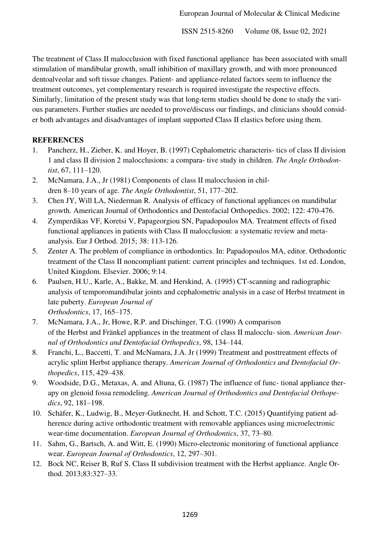The treatment of Class II malocclusion with fixed functional appliance has been associated with small stimulation of mandibular growth, small inhibition of maxillary growth, and with more pronounced dentoalveolar and soft tissue changes. Patient- and appliance-related factors seem to influence the treatment outcomes, yet complementary research is required investigate the respective effects. Similarly, limitation of the present study was that long-term studies should be done to study the various parameters. Further studies are needed to prove/discuss our findings, and clinicians should consider both advantages and disadvantages of implant supported Class II elastics before using them.

## **REFERENCES**

- 1. Pancherz, H., Zieber, K. and Hoyer, B. (1997) Cephalometric characteris- tics of class II division 1 and class II division 2 malocclusions: a compara- tive study in children. *The Angle Orthodontist*, 67, 111–120.
- 2. McNamara, J.A., Jr (1981) Components of class II malocclusion in children 8–10 years of age. *The Angle Orthodontist*, 51, 177–202.
- 3. Chen JY, Will LA, Niederman R. Analysis of efficacy of functional appliances on mandibular growth. American Journal of Orthodontics and Dentofacial Orthopedics. 2002; 122: 470-476.
- 4. Zymperdikas VF, Koretsi V, Papageorgiou SN, Papadopoulos MA. Treatment effects of fixed functional appliances in patients with Class II malocclusion: a systematic review and metaanalysis. Eur J Orthod. 2015; 38: 113-126.
- 5. Zenter A. The problem of compliance in orthodontics. In: Papadopoulos MA, editor. Orthodontic treatment of the Class II noncompliant patient: current principles and techniques. 1st ed. London, United Kingdom. Elsevier. 2006; 9:14.
- 6. Paulsen, H.U., Karle, A., Bakke, M. and Herskind, A. (1995) CT-scanning and radiographic analysis of temporomandibular joints and cephalometric analysis in a case of Herbst treatment in late puberty. *European Journal of Orthodontics*, 17, 165–175.
- 7. McNamara, J.A., Jr, Howe, R.P. and Dischinger, T.G. (1990) A comparison of the Herbst and Fränkel appliances in the treatment of class II malocclu- sion. *American Journal of Orthodontics and Dentofacial Orthopedics*, 98, 134–144.
- 8. Franchi, L., Baccetti, T. and McNamara, J.A. Jr (1999) Treatment and posttreatment effects of acrylic splint Herbst appliance therapy. *American Journal of Orthodontics and Dentofacial Orthopedics*, 115, 429–438.
- 9. Woodside, D.G., Metaxas, A. and Altuna, G. (1987) The influence of func- tional appliance therapy on glenoid fossa remodeling. *American Journal of Orthodontics and Dentofacial Orthopedics*, 92, 181–198.
- 10. Schäfer, K., Ludwig, B., Meyer-Gutknecht, H. and Schott, T.C. (2015) Quantifying patient adherence during active orthodontic treatment with removable appliances using microelectronic wear-time documentation. *European Journal of Orthodontics*, 37, 73–80.
- 11. Sahm, G., Bartsch, A. and Witt, E. (1990) Micro-electronic monitoring of functional appliance wear. *European Journal of Orthodontics*, 12, 297–301.
- 12. Bock NC, Reiser B, Ruf S. Class II subdivision treatment with the Herbst appliance. Angle Orthod. 2013;83:327–33.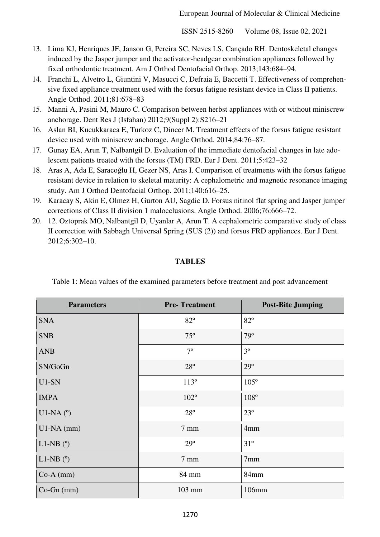- 13. Lima KJ, Henriques JF, Janson G, Pereira SC, Neves LS, Cançado RH. Dentoskeletal changes induced by the Jasper jumper and the activator-headgear combination appliances followed by fixed orthodontic treatment. Am J Orthod Dentofacial Orthop. 2013;143:684–94.
- 14. Franchi L, Alvetro L, Giuntini V, Masucci C, Defraia E, Baccetti T. Effectiveness of comprehensive fixed appliance treatment used with the forsus fatigue resistant device in Class II patients. Angle Orthod. 2011;81:678–83
- 15. Manni A, Pasini M, Mauro C. Comparison between herbst appliances with or without miniscrew anchorage. Dent Res J (Isfahan) 2012;9(Suppl 2):S216–21
- 16. Aslan BI, Kucukkaraca E, Turkoz C, Dincer M. Treatment effects of the forsus fatigue resistant device used with miniscrew anchorage. Angle Orthod. 2014;84:76–87.
- 17. Gunay EA, Arun T, Nalbantgil D. Evaluation of the immediate dentofacial changes in late adolescent patients treated with the forsus (TM) FRD. Eur J Dent. 2011;5:423–32
- 18. Aras A, Ada E, Saracoğlu H, Gezer NS, Aras I. Comparison of treatments with the forsus fatigue resistant device in relation to skeletal maturity: A cephalometric and magnetic resonance imaging study. Am J Orthod Dentofacial Orthop. 2011;140:616–25.
- 19. Karacay S, Akin E, Olmez H, Gurton AU, Sagdic D. Forsus nitinol flat spring and Jasper jumper corrections of Class II division 1 malocclusions. Angle Orthod. 2006;76:666–72.
- 20. 12. Oztoprak MO, Nalbantgil D, Uyanlar A, Arun T. A cephalometric comparative study of class II correction with Sabbagh Universal Spring (SUS (2)) and forsus FRD appliances. Eur J Dent. 2012;6:302–10.

#### **TABLES**

| <b>Parameters</b>      | <b>Pre-Treatment</b> | <b>Post-Bite Jumping</b> |
|------------------------|----------------------|--------------------------|
| <b>SNA</b>             | $82^{\circ}$         | $82^{\circ}$             |
| <b>SNB</b>             | $75^{\circ}$         | $79^\circ$               |
| <b>ANB</b>             | $7^{\circ}$          | $3^{\circ}$              |
| SN/GoGn                | $28^{\circ}$         | $29^\circ$               |
| $U1-SN$                | $113^{\circ}$        | $105^{\circ}$            |
| <b>IMPA</b>            | $102^{\circ}$        | $108^\circ$              |
| $U1-NA$ ( $^{\circ}$ ) | $28^{\circ}$         | $23^{\circ}$             |
| $U1-NA$ (mm)           | $7 \text{ mm}$       | 4 <sub>mm</sub>          |
| L1-NB $(°)$            | $29^\circ$           | $31^{\circ}$             |
| $L1-NB$ ( $\degree$ )  | $7 \text{ mm}$       | 7 <sub>mm</sub>          |
| $Co-A$ (mm)            | 84 mm                | 84mm                     |
| $Co-Gn$ (mm)           | 103 mm               | 106mm                    |

Table 1: Mean values of the examined parameters before treatment and post advancement